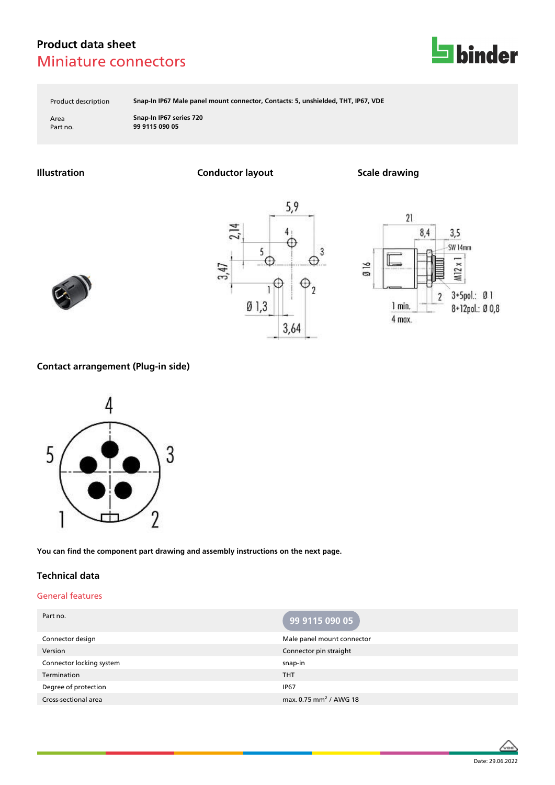

Product description **Snap-In IP67 Male panel mount connector, Contacts: 5, unshielded, THT, IP67, VDE**

Area **Snap-In IP67 series 720** Part no. **99 9115 090 05**

**Illustration Conductor layout Scale drawing**







### **Contact arrangement (Plug-in side)**



**You can find the component part drawing and assembly instructions on the next page.**

### **Technical data**

#### General features

| Part no.                 | 99 9115 090 05                     |
|--------------------------|------------------------------------|
| Connector design         | Male panel mount connector         |
| Version                  | Connector pin straight             |
| Connector locking system | snap-in                            |
| Termination              | <b>THT</b>                         |
| Degree of protection     | <b>IP67</b>                        |
| Cross-sectional area     | max. 0.75 mm <sup>2</sup> / AWG 18 |

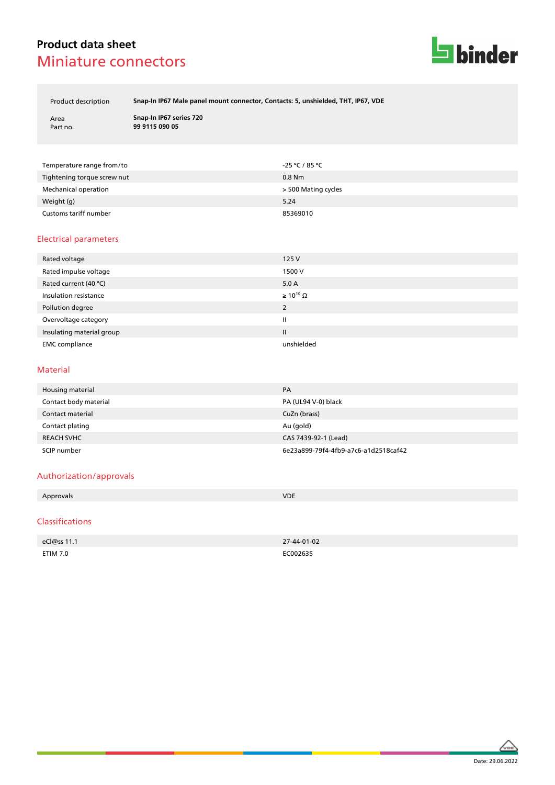

Product description **Snap-In IP67 Male panel mount connector, Contacts: 5, unshielded, THT, IP67, VDE**

| Area     |  |
|----------|--|
| Part no. |  |

Area **Snap-In IP67 series 720** Part no. **99 9115 090 05**

| Temperature range from/to   | -25 ℃ / 85 ℃        |
|-----------------------------|---------------------|
| Tightening torque screw nut | $0.8$ Nm            |
| Mechanical operation        | > 500 Mating cycles |
| Weight (g)                  | 5.24                |
| Customs tariff number       | 85369010            |

### Electrical parameters

| Rated voltage             | 125 V                 |
|---------------------------|-----------------------|
| Rated impulse voltage     | 1500 V                |
| Rated current (40 °C)     | 5.0A                  |
| Insulation resistance     | $\geq 10^{10} \Omega$ |
| Pollution degree          | 2                     |
| Overvoltage category      | Ш                     |
| Insulating material group | Ш                     |
| <b>EMC</b> compliance     | unshielded            |

#### Material

| Housing material      | PA                                   |
|-----------------------|--------------------------------------|
| Contact body material | PA (UL94 V-0) black                  |
| Contact material      | CuZn (brass)                         |
| Contact plating       | Au (gold)                            |
| <b>REACH SVHC</b>     | CAS 7439-92-1 (Lead)                 |
| SCIP number           | 6e23a899-79f4-4fb9-a7c6-a1d2518caf42 |

#### Authorization/approvals

| Approvals      | <b>VDE</b> |
|----------------|------------|
|                |            |
| C <sub>l</sub> |            |

#### Classifications

| eCl@ss 11.1 | 27-44-01-02 |
|-------------|-------------|
| ETIM 7.0    | EC002635    |

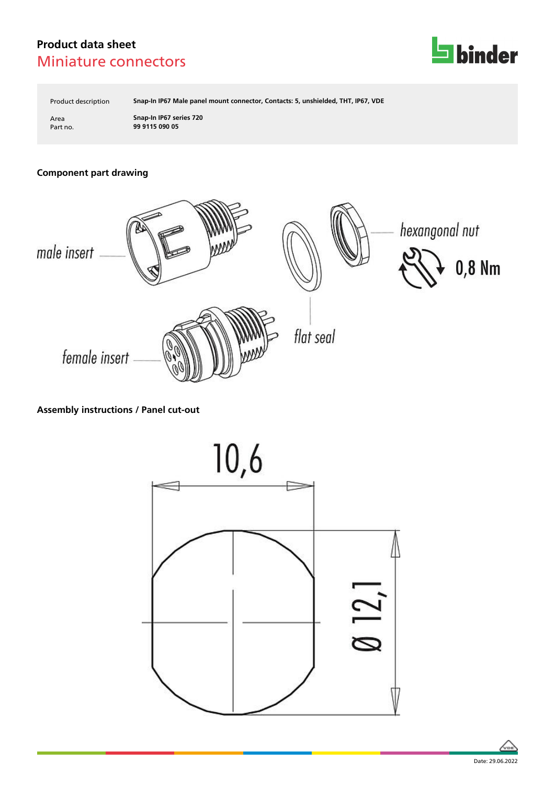

Product description **Snap-In IP67 Male panel mount connector, Contacts: 5, unshielded, THT, IP67, VDE**

Area **Snap-In IP67 series 720** Part no. **99 9115 090 05**

# **Component part drawing**



# **Assembly instructions / Panel cut-out**